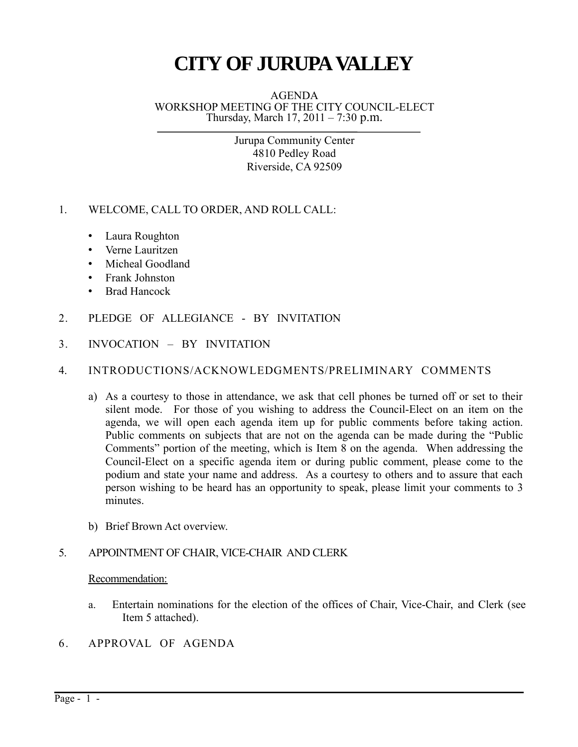# **CITY OF JURUPAVALLEY**

AGENDA WORKSHOP MEETING OF THE CITY COUNCIL-ELECT Thursday, March 17, 2011 – 7:30 p.m.

> Jurupa Community Center 4810 Pedley Road Riverside, CA 92509

- 1. WELCOME, CALL TO ORDER, AND ROLL CALL:
	- Laura Roughton
	- Verne Lauritzen
	- Micheal Goodland
	- Frank Johnston
	- Brad Hancock
- 2. PLEDGE OF ALLEGIANCE BY INVITATION
- 3. INVOCATION BY INVITATION

### 4. INTRODUCTIONS/ACKNOWLEDGMENTS/PRELIMINARY COMMENTS

- a) As a courtesy to those in attendance, we ask that cell phones be turned off or set to their silent mode. For those of you wishing to address the Council-Elect on an item on the agenda, we will open each agenda item up for public comments before taking action. Public comments on subjects that are not on the agenda can be made during the "Public Comments" portion of the meeting, which is Item 8 on the agenda. When addressing the Council-Elect on a specific agenda item or during public comment, please come to the podium and state your name and address. As a courtesy to others and to assure that each person wishing to be heard has an opportunity to speak, please limit your comments to 3 minutes.
- b) Brief Brown Act overview.

#### 5. APPOINTMENT OF CHAIR, VICE-CHAIR AND CLERK

#### Recommendation:

- a. Entertain nominations for the election of the offices of Chair, Vice-Chair, and Clerk (see Item 5 attached).
- 6. APPROVAL OF AGENDA